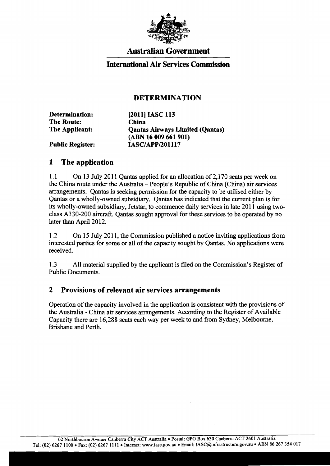

# **Australian Government**

## **International Air Services Commission**

## **DETERMINATION**

| Determination:          | [2011] IASC 113                        |
|-------------------------|----------------------------------------|
| <b>The Route:</b>       | <b>China</b>                           |
| The Applicant:          | <b>Qantas Airways Limited (Qantas)</b> |
|                         | (ABN 16 009 661 901)                   |
| <b>Public Register:</b> | <b>IASC/APP/201117</b>                 |

#### **1 The application**

1.1 On 13 July 2011 Qantas applied for an allocation of 2,170 seats per week on the China route under the Australia - People's Republic of China (China) air services arrangements. Qantas is seeking permission for the capacity to be utilised either by Qantas or a wholly-owned subsidiary. Qantas has indicated that the current plan is for its wholly-owned subsidiary, Jetstar, to commence daily services in late 2011 using twoclass A330-200 aircraft. Qantas sought approval for these services to be operated by no later than April 2012.

1.2 On 15 July 2011, the Commission published a notice inviting applications from interested parties for some or all of the capacity sought by Qantas. No applications were received.

1.3 All material supplied by the applicant is filed on the Commission's Register of Public Documents.

#### **2 Provisions of relevant air services arrangements**

Operation of the capacity involved in the application is consistent with the provisions of the Australia - China air services arrangements. According to the Register of Available Capacity there are 16,288 seats each way per week to and from Sydney, Melbourne, Brisbane and Perth.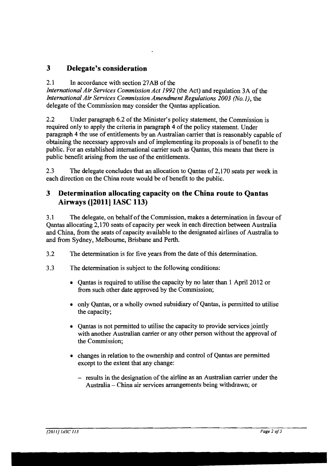# **3 Delegate's consideration**

#### 2.1 In accordance with section 27AB of the

*International Air Services Commission Act* 1992 (the Act) and regulation 3A of the *International Air Services Commission Amendment Regulations 2003 (No.1),* the delegate of the Commission may consider the Qantas application.

2.2 Under paragraph 6.2 of the Minister's policy statement, the Commission is required only to apply the criteria in paragraph 4 of the policy statement. Under paragraph 4 the use of entitlements by an Australian carrier that is reasonably capable of obtaining the necessary approvals and of implementing its proposals is of benefit to the public. For an established international carrier such as Qantas, this means that there is public benefit arising from the use of the entitlements.

2.3 The delegate concludes that an allocation to Qantas of 2, 170 seats per week in each direction on the China route would be of benefit to the public.

# **3 Determination allocating capacity on the China route to Qantas Airways ([2011] IASC 113)**

3.1 The delegate, on behalfofthe Commission, makes a determination in favour of Qantas allocating 2,170 seats of capacity per week in each direction between' Australia and China, from the seats of capacity available to the designated airlines of Australia to and from Sydney, Melbourne, Brisbane and Perth.

- 3.2 The determination is for five years from the date of this determination.
- 3.3 The determination is subject to the following conditions:
	- Qantas is required to utilise the capacity by no later than 1 April 2012 or from such other date approved by the Commission;
	- only Qantas, or a wholly owned subsidiary of Qantas, is permitted to utilise the capacity;
	- Cantas is not permitted to utilise the capacity to provide services jointly with another Australian carrier or any other person without the approval of the Commission;
	- changes in relation to the ownership and control of Qantas are permitted except to the extent that any change:
		- results in the designation of the airline as an Australian carrier under the Australia - China air services arrangements being withdrawn; or